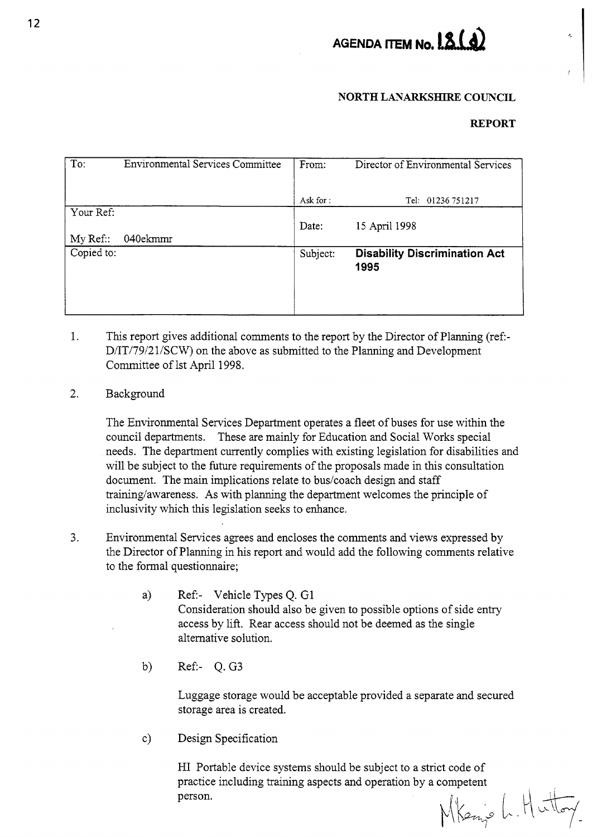

## **NORTH LANARKSHIRE COUNCIL**

#### **REPORT**

| To:        | <b>Environmental Services Committee</b> | From:    | Director of Environmental Services           |
|------------|-----------------------------------------|----------|----------------------------------------------|
|            |                                         |          |                                              |
|            |                                         | Ask for: | Tel: 01236 751217                            |
| Your Ref:  |                                         |          |                                              |
|            |                                         | Date:    | 15 April 1998                                |
| My Ref::   | 040ekmmr                                |          |                                              |
| Copied to: |                                         | Subject: | <b>Disability Discrimination Act</b><br>1995 |
|            |                                         |          |                                              |

- 1. This report gives additional comments to the report by the Director of Planning (ref-D/IT/79/21/SCW) on the above as submitted to the Planning and Development Committee of 1st April 1998.
- *2.* Background

The Environmental Services Department operates a fleet of buses for use within the council departments. These are mainly for Education and Social Works special needs. The department currently complies with existing legislation for disabilities and will be subject to the future requirements of the proposals made in this consultation document. The main implications relate to bus/coach design and staff training/awareness. As with planning the department welcomes the principle of inclusivity which this legislation seeks to enhance.

- 3. Environmental Services agrees and encloses the comments and views expressed by the Director of Planning in his report and would add the following comments relative to the formal questionnaire;
	- a) Ref- Vehicle Types Q. G1 Consideration should also be given to possible options of side entry access by lift. Rear access should not be deemed as the single alternative solution.
	- b) Ref:-  $Q. G3$

Luggage storage would be acceptable provided a separate and secured storage area is created.

c) Design Specification

HI Portable device systems should be subject to a strict code of practice including training aspects and operation by a competent<br>person.<br> $\sqrt{\left|\left(\sum f_{\text{max}}\right)^2 + \left(\sum f_{\text{max}}\right)^2\right|}$ person.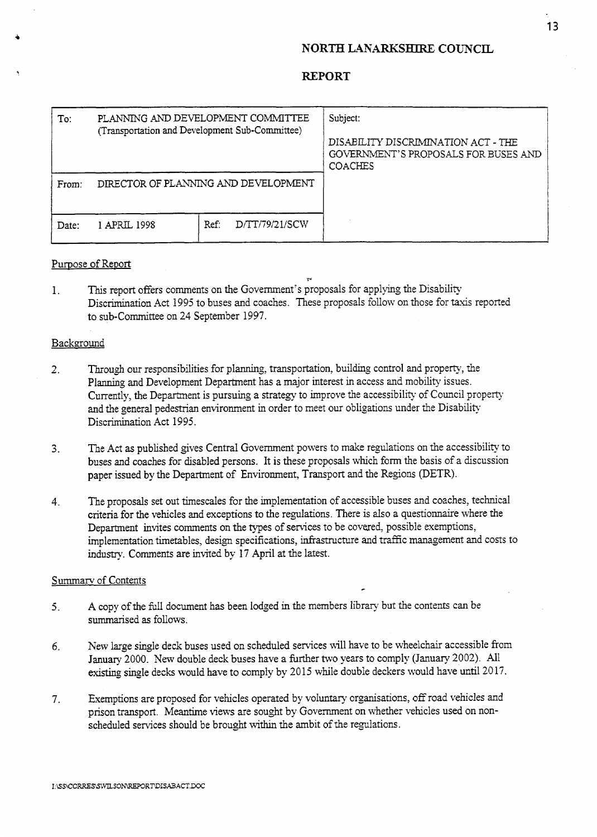## **NORTH LAKARKSEIJRE COUNCIL,**

| To:   | PLANNING AND DEVELOPMENT COMMITTEE<br>(Transportation and Development Sub-Committee) |                        | Subject:<br>DISABILITY DISCRIMINATION ACT - THE<br>GOVERNMENT'S PROPOSALS FOR BUSES AND<br><b>COACHES</b> |
|-------|--------------------------------------------------------------------------------------|------------------------|-----------------------------------------------------------------------------------------------------------|
| From: | DIRECTOR OF PLANNING AND DEVELOPMENT                                                 |                        |                                                                                                           |
| Date: | 1 APRIL 1998                                                                         | D/TT/79/21/SCW<br>Ref: |                                                                                                           |

#### Purpose of Report

1. This report offers comments on the Government's proposals for applying the Disability Discrimination Act 1995 to buses and coaches. These proposals follow on those for taxis reported to sub-Committee on 24 September 1997.

### Background

- 2. Through our responsibilities for planning, transportation, building control and property, the Planning and Development Department has a major interest in access and mobility issues. Currently, the Department is pursuing a strategy to improve the accessibility of Council property and the general pedestrian environment in order to meet our obligations under the Disability Discrimination Act 1995.
- 3. The Act **as** published gives Central Government powers to make regulations on the accessibility to buses and coaches for disabled persons. It is these proposals which form the basis of a discussion paper issued by the Department of Environment, Transport and the Regions (DETR).
- **4.** The proposals set out timescales for the implementation of accessible buses and coaches, technical criteria for the vehicles and exceptions to the regulations. There is also a questionnaire where the Department invites comments on the types of services to be covered, possible exemptions, implementation timetables, design specifications, infrastructure and traffic management and costs to industry. Comments are invited by 17 April at the latest.

*c* 

#### Summarv of Contents

- 5. A copy of the fuIl document has been lodged in the members library but the contents can be summarised **as** follows.
- *6.* New large single deck buses used on scheduled services will have to be wheelchair accessible from January 2000. New double deck buses have a further two years to comply (January 2002). All existing single decks would have to comply by 2015 while double deckers would have until 20 17.
- 7. Exemptions are proposed for vehicles operated by voluntary organisations, off road vehicles and prison transport. Meantime views are sought by Government on whether vehicles used on nonscheduled services should be brought within the ambit of the regulations.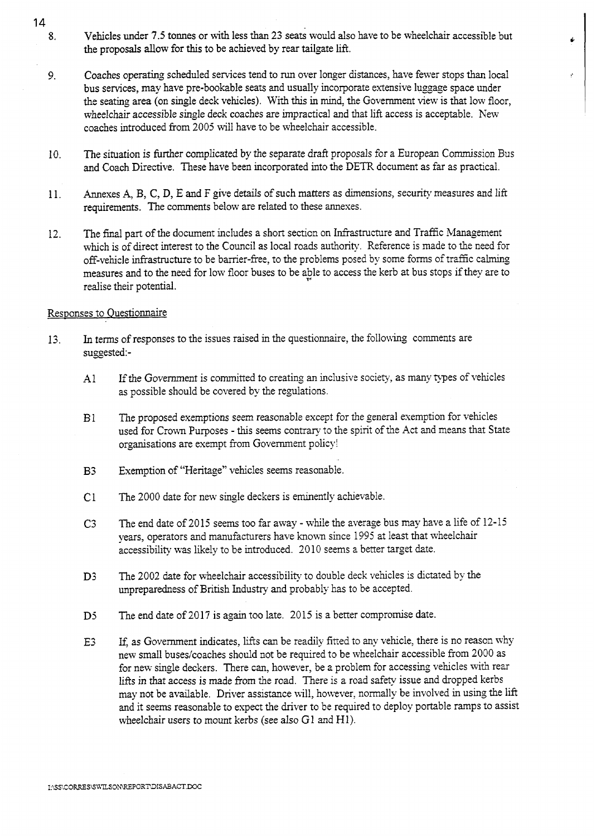- **8.**  Vehicles under **7.5** tonnes or with less than **23** seats would also have to be wheelchair accessible but the proposals allow for this to be achieved by rear tailgate lift.
- *9.*  Coaches operating scheduled services tend to run over longer distances, have fewer stops than local bus services, may have pre-bookable seats and usually incorporate extensive luggage space under the seating area **(on** single deck vehicles). With this in mind, the Government view is that low floor, wheelchair accessible single deck coaches are impractical and that lift access is acceptable. New coaches introduced from 2005 will have to be wheelchair accessible.
- 10. The situation is further complicated by the separate draft proposals for a European Commission Bus and Coach Directive. These have been incorporated into the DETR document as far as practical.
- 11. Annexes **A, By** C, D, E and F give details of such matters as dunensions, security measures and lift requirements. The comments below are related to these annexes.
- 12. The final part of the document includes a short section on Infrastructure and Traffic Management which is of direct interest to the Council as local roads authority. Reference is made to the need for off-vehicle infrastructure to be barrier-free, to the problems posed by some forms of traffic calming measures and to the need for low floor buses to be able to access the kerb at bus stops if they are to realise their potential.

## Responses to Ouestionnaire

- 13. In terms of responses to the issues raised *in* the questionnaire, the followhg comments are suggested:-
	- **AI**  If the Government is committed to creating an inclusive society, as many types of vehicles as possible should be covered by the regulations.
	- B1 The proposed exemptions seem reasonable except for the general exemption for vehcles used for Crown Purposes - this seems contrary to the spirit of the Act and means that State organisations are exempt from Government policy!
	- $B<sub>3</sub>$ Exemption of "Heritage" vehicles seems reasonable.
	- $C1$ The 2000 date for new single deckers is eminently achievable.
	- $C3$ The end date of 2015 seems too far away - while the average bus may have a life of 12-15 years, operators and manufacturers have known since 1995 at least that wheelchair accessibility was likely to be introduced. 2010 seems a better target date.
	- D<sub>3</sub> The 2002 date for wheelchair accessibility to double deck vehicles is dictated by the unpreparedness of British Industry and probably has to be accepted.
	- **D5**  The end date of 2017 is again too late. 2015 is a better compromise date.
	- E3 If, as Government indicates, lifts can be readily fitted to any vehicle, there is no reason why new small buses/coaches should not be required to be wheelchair accessible from 2000 as for new single deckers. There can, however, be a problem for accessing vehicles with rear lifts in that access is made from the road. There is a road safety issue and dropped kerbs may not be available. Driver assistance will, however, normally be involved in using the lift and it seems reasonable to espect the driver to be required to deploy portable ramps to assist wheelchair users to mount kerbs (see also G1 and Hl).

14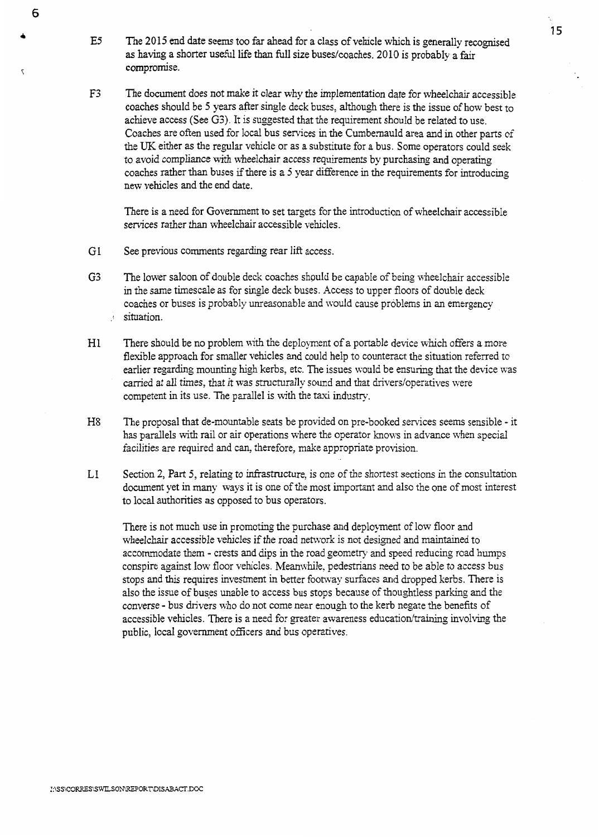- E5 The 2015 end date seems too far ahead for a class of vehicle which is generally recognised as having a shorter useful life than full size buses/coaches. 2010 is probably a fair compromise.
- **F3** The document does not make it clear why the implementation date for wheelchair accessible coaches should be 5 years after single deck buses, although there is the issue of how best to achieve access (See **G3).** It is suggested that the requirement should be related to use. Coaches are often used for local bus services in the Cumbernauld area and in other parts of the UK either as the regular vehicle or as a substitute for a bus. Some operators could seek to avoid compliance with wheelchair access requirements by purchasing and operating coaches rather than buses if there is a 5 year difference in the requirements for introducing new vehicles and the end date.

There is a need for Government to set targets for the introduction of wheelchair accessible services rather than wheelchair accessible vehicles.

G1 See previous comments regarding rear lift access.

*6* 

- **G3** The lower saloon of double deck coaches shpuld be capable of being wheelchair accessible in the same timescale as for single deck buses. Access to upper floors of double deck coaches or buses is probably unreasonable and xould cause problems in an emergency .! situation.
- H1 There should be no problem with the deployment of a portable device which offers a more flexible approach for smaller vehicles and could help to counteract the situation referred to earlier regarding mounting high kerbs, etc. The issues would be ensuring that the device was carried at all times, that it was structurally sound and that drivers/operatives were competent in its use. The parallel is with the taxi industry.
- **H8** The proposal that de-mountable seats be provided on pre-booked services seems sensible it has parallels with rail or air operations where the operator knows in advance when special facilities are required and can, therefore, make appropriate provision.
- L1 Section 2, Part *5,* relating to infrastructure: is one of the shortest sections in the consultation document yet *in* many ways it is one of the most important and also the one of **most** interest to local authorities **as** opposed to bus operators.

There is not much use in promoting the purchase and deployment of low floor and wheelchair accessible vehicles if the road network is not designed and maintained to accommodate them - crests and dips in the road geometry and speed reducing road humps conspire against low floor vehicles. Meanwhile, pedestrians need to be able to access bus stops and this requires investment in better footway surfaces and dropped kerbs. There is also the issue of buses unable to access bus stops because of thoughtless parking and the converse - bus drivers who do not come near enough to the kerb negate the benefits of accessible vehicles. There is a need for greater awareness education/training involving the public, local government officers and bus operatives.